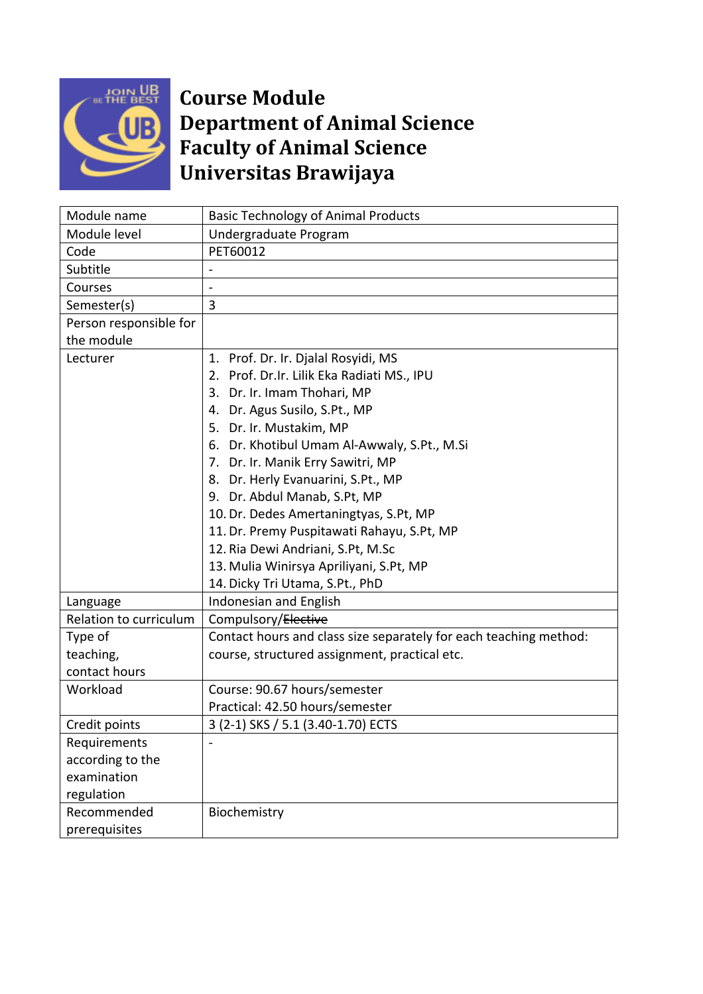

## **Course Module Department of Animal Science Faculty of Animal Science Universitas Brawijaya**

| Module name            | <b>Basic Technology of Animal Products</b>                        |
|------------------------|-------------------------------------------------------------------|
| Module level           | Undergraduate Program                                             |
| Code                   | PET60012                                                          |
| Subtitle               |                                                                   |
| Courses                |                                                                   |
| Semester(s)            | 3                                                                 |
| Person responsible for |                                                                   |
| the module             |                                                                   |
| Lecturer               | 1. Prof. Dr. Ir. Djalal Rosyidi, MS                               |
|                        | 2. Prof. Dr.Ir. Lilik Eka Radiati MS., IPU                        |
|                        | 3. Dr. Ir. Imam Thohari, MP                                       |
|                        | 4. Dr. Agus Susilo, S.Pt., MP                                     |
|                        | 5. Dr. Ir. Mustakim, MP                                           |
|                        | 6. Dr. Khotibul Umam Al-Awwaly, S.Pt., M.Si                       |
|                        | 7. Dr. Ir. Manik Erry Sawitri, MP                                 |
|                        | 8. Dr. Herly Evanuarini, S.Pt., MP                                |
|                        | 9. Dr. Abdul Manab, S.Pt, MP                                      |
|                        | 10. Dr. Dedes Amertaningtyas, S.Pt, MP                            |
|                        | 11. Dr. Premy Puspitawati Rahayu, S.Pt, MP                        |
|                        | 12. Ria Dewi Andriani, S.Pt, M.Sc                                 |
|                        | 13. Mulia Winirsya Apriliyani, S.Pt, MP                           |
|                        | 14. Dicky Tri Utama, S.Pt., PhD                                   |
| Language               | Indonesian and English                                            |
| Relation to curriculum | Compulsory/Elective                                               |
| Type of                | Contact hours and class size separately for each teaching method: |
| teaching,              | course, structured assignment, practical etc.                     |
| contact hours          |                                                                   |
| Workload               | Course: 90.67 hours/semester                                      |
|                        | Practical: 42.50 hours/semester                                   |
| Credit points          | 3 (2-1) SKS / 5.1 (3.40-1.70) ECTS                                |
| Requirements           |                                                                   |
| according to the       |                                                                   |
| examination            |                                                                   |
| regulation             |                                                                   |
| Recommended            | Biochemistry                                                      |
| prerequisites          |                                                                   |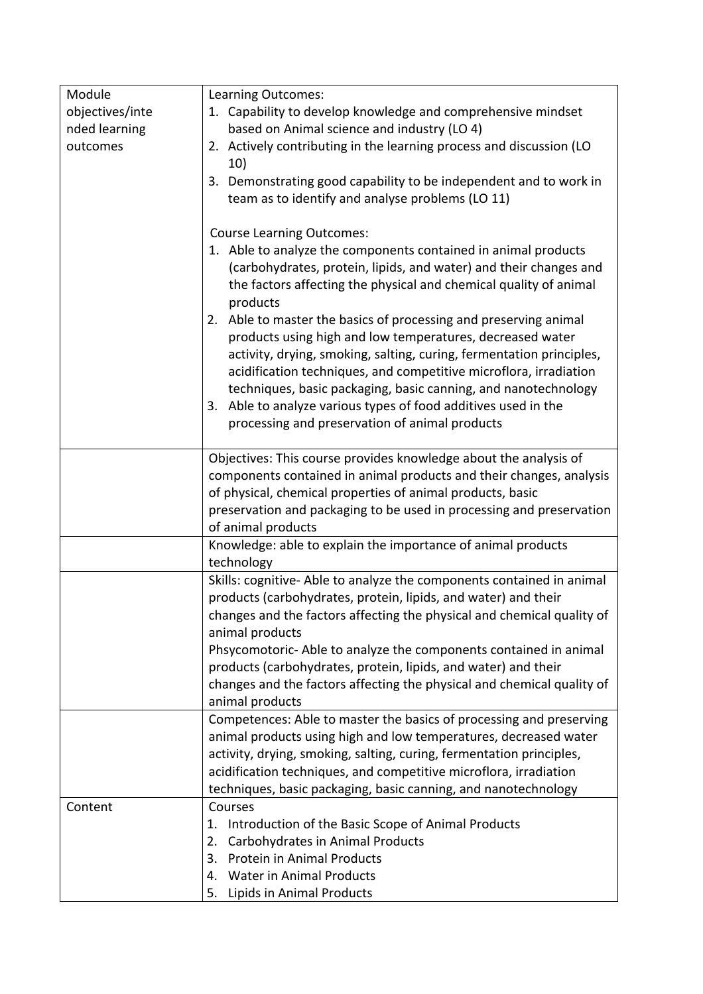| Module          | Learning Outcomes:                                                                                                                                                                                                                                                                                                                                                                                                                                                  |
|-----------------|---------------------------------------------------------------------------------------------------------------------------------------------------------------------------------------------------------------------------------------------------------------------------------------------------------------------------------------------------------------------------------------------------------------------------------------------------------------------|
| objectives/inte | 1. Capability to develop knowledge and comprehensive mindset                                                                                                                                                                                                                                                                                                                                                                                                        |
| nded learning   | based on Animal science and industry (LO 4)                                                                                                                                                                                                                                                                                                                                                                                                                         |
| outcomes        | 2. Actively contributing in the learning process and discussion (LO<br>10)                                                                                                                                                                                                                                                                                                                                                                                          |
|                 | 3. Demonstrating good capability to be independent and to work in<br>team as to identify and analyse problems (LO 11)                                                                                                                                                                                                                                                                                                                                               |
|                 | <b>Course Learning Outcomes:</b>                                                                                                                                                                                                                                                                                                                                                                                                                                    |
|                 | 1. Able to analyze the components contained in animal products<br>(carbohydrates, protein, lipids, and water) and their changes and<br>the factors affecting the physical and chemical quality of animal<br>products                                                                                                                                                                                                                                                |
|                 | Able to master the basics of processing and preserving animal<br>2.<br>products using high and low temperatures, decreased water<br>activity, drying, smoking, salting, curing, fermentation principles,<br>acidification techniques, and competitive microflora, irradiation<br>techniques, basic packaging, basic canning, and nanotechnology<br>3. Able to analyze various types of food additives used in the<br>processing and preservation of animal products |
|                 | Objectives: This course provides knowledge about the analysis of                                                                                                                                                                                                                                                                                                                                                                                                    |
|                 | components contained in animal products and their changes, analysis<br>of physical, chemical properties of animal products, basic<br>preservation and packaging to be used in processing and preservation                                                                                                                                                                                                                                                           |
|                 | of animal products                                                                                                                                                                                                                                                                                                                                                                                                                                                  |
|                 | Knowledge: able to explain the importance of animal products<br>technology                                                                                                                                                                                                                                                                                                                                                                                          |
|                 | Skills: cognitive- Able to analyze the components contained in animal<br>products (carbohydrates, protein, lipids, and water) and their<br>changes and the factors affecting the physical and chemical quality of<br>animal products                                                                                                                                                                                                                                |
|                 | Phsycomotoric-Able to analyze the components contained in animal<br>products (carbohydrates, protein, lipids, and water) and their<br>changes and the factors affecting the physical and chemical quality of                                                                                                                                                                                                                                                        |
|                 | animal products                                                                                                                                                                                                                                                                                                                                                                                                                                                     |
|                 | Competences: Able to master the basics of processing and preserving<br>animal products using high and low temperatures, decreased water<br>activity, drying, smoking, salting, curing, fermentation principles,<br>acidification techniques, and competitive microflora, irradiation<br>techniques, basic packaging, basic canning, and nanotechnology                                                                                                              |
| Content         | Courses                                                                                                                                                                                                                                                                                                                                                                                                                                                             |
|                 | Introduction of the Basic Scope of Animal Products<br>1.                                                                                                                                                                                                                                                                                                                                                                                                            |
|                 | Carbohydrates in Animal Products<br>2.                                                                                                                                                                                                                                                                                                                                                                                                                              |
|                 | <b>Protein in Animal Products</b><br>3.                                                                                                                                                                                                                                                                                                                                                                                                                             |
|                 | <b>Water in Animal Products</b><br>4.                                                                                                                                                                                                                                                                                                                                                                                                                               |
|                 | Lipids in Animal Products<br>5.                                                                                                                                                                                                                                                                                                                                                                                                                                     |